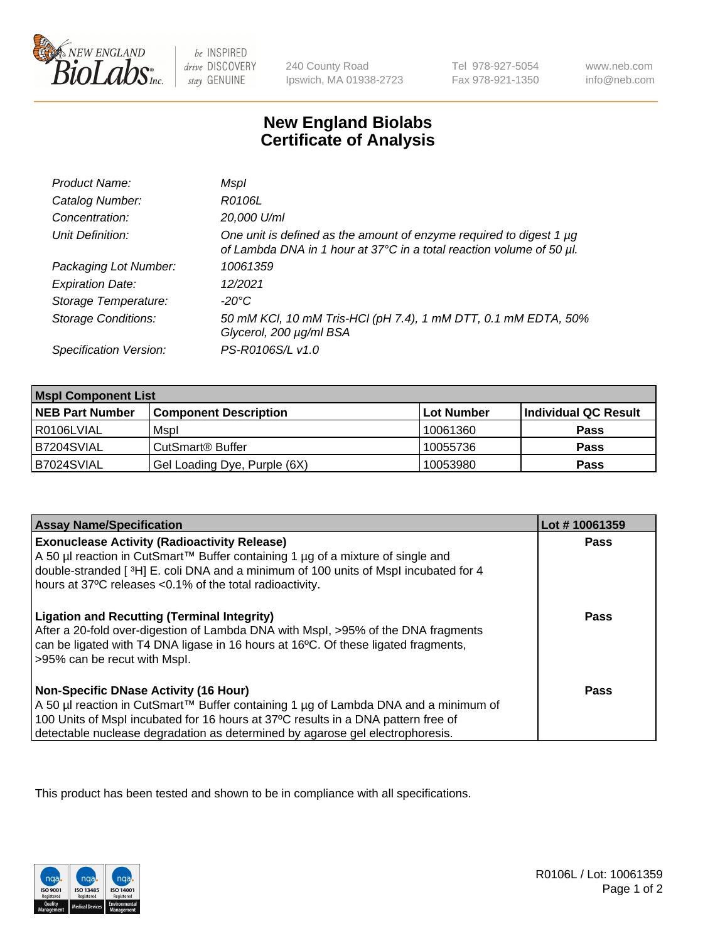

 $be$  INSPIRED drive DISCOVERY stay GENUINE

240 County Road Ipswich, MA 01938-2723 Tel 978-927-5054 Fax 978-921-1350

www.neb.com info@neb.com

## **New England Biolabs Certificate of Analysis**

| Product Name:              | Mspl                                                                                                                                        |
|----------------------------|---------------------------------------------------------------------------------------------------------------------------------------------|
| Catalog Number:            | R0106L                                                                                                                                      |
| Concentration:             | 20,000 U/ml                                                                                                                                 |
| Unit Definition:           | One unit is defined as the amount of enzyme required to digest 1 µg<br>of Lambda DNA in 1 hour at 37°C in a total reaction volume of 50 µl. |
| Packaging Lot Number:      | 10061359                                                                                                                                    |
| <b>Expiration Date:</b>    | 12/2021                                                                                                                                     |
| Storage Temperature:       | -20°C                                                                                                                                       |
| <b>Storage Conditions:</b> | 50 mM KCl, 10 mM Tris-HCl (pH 7.4), 1 mM DTT, 0.1 mM EDTA, 50%<br>Glycerol, 200 µg/ml BSA                                                   |
| Specification Version:     | PS-R0106S/L v1.0                                                                                                                            |

| <b>Mspl Component List</b> |                              |            |                      |  |  |
|----------------------------|------------------------------|------------|----------------------|--|--|
| <b>NEB Part Number</b>     | <b>Component Description</b> | Lot Number | Individual QC Result |  |  |
| R0106LVIAL                 | Mspl                         | 10061360   | <b>Pass</b>          |  |  |
| IB7204SVIAL                | CutSmart <sup>®</sup> Buffer | 10055736   | <b>Pass</b>          |  |  |
| B7024SVIAL                 | Gel Loading Dye, Purple (6X) | 10053980   | <b>Pass</b>          |  |  |

| <b>Assay Name/Specification</b>                                                                                                                                                                                                                                                                             | Lot #10061359 |
|-------------------------------------------------------------------------------------------------------------------------------------------------------------------------------------------------------------------------------------------------------------------------------------------------------------|---------------|
| <b>Exonuclease Activity (Radioactivity Release)</b><br>A 50 µl reaction in CutSmart™ Buffer containing 1 µg of a mixture of single and<br>double-stranded [3H] E. coli DNA and a minimum of 100 units of Mspl incubated for 4<br>hours at 37°C releases <0.1% of the total radioactivity.                   | Pass          |
| <b>Ligation and Recutting (Terminal Integrity)</b><br>After a 20-fold over-digestion of Lambda DNA with Mspl, >95% of the DNA fragments<br>can be ligated with T4 DNA ligase in 16 hours at 16 <sup>o</sup> C. Of these ligated fragments,<br>>95% can be recut with Mspl.                                  | Pass          |
| <b>Non-Specific DNase Activity (16 Hour)</b><br>  A 50 µl reaction in CutSmart™ Buffer containing 1 µg of Lambda DNA and a minimum of<br>100 Units of Mspl incubated for 16 hours at 37°C results in a DNA pattern free of<br>detectable nuclease degradation as determined by agarose gel electrophoresis. | Pass          |

This product has been tested and shown to be in compliance with all specifications.